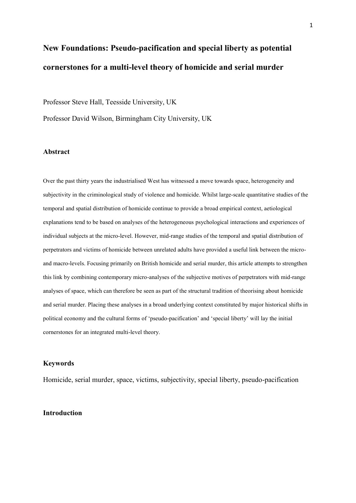# **New Foundations: Pseudo-pacification and special liberty as potential cornerstones for a multi-level theory of homicide and serial murder**

Professor Steve Hall, Teesside University, UK

Professor David Wilson, Birmingham City University, UK

#### **Abstract**

Over the past thirty years the industrialised West has witnessed a move towards space, heterogeneity and subjectivity in the criminological study of violence and homicide. Whilst large-scale quantitative studies of the temporal and spatial distribution of homicide continue to provide a broad empirical context, aetiological explanations tend to be based on analyses of the heterogeneous psychological interactions and experiences of individual subjects at the micro-level. However, mid-range studies of the temporal and spatial distribution of perpetrators and victims of homicide between unrelated adults have provided a useful link between the microand macro-levels. Focusing primarily on British homicide and serial murder, this article attempts to strengthen this link by combining contemporary micro-analyses of the subjective motives of perpetrators with mid-range analyses of space, which can therefore be seen as part of the structural tradition of theorising about homicide and serial murder. Placing these analyses in a broad underlying context constituted by major historical shifts in political economy and the cultural forms of 'pseudo-pacification' and 'special liberty' will lay the initial cornerstones for an integrated multi-level theory.

## **Keywords**

Homicide, serial murder, space, victims, subjectivity, special liberty, pseudo-pacification

#### **Introduction**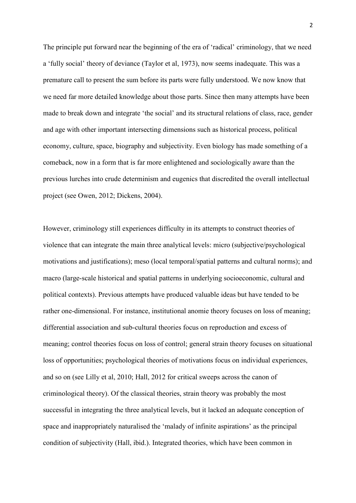The principle put forward near the beginning of the era of 'radical' criminology, that we need a 'fully social' theory of deviance (Taylor et al, 1973), now seems inadequate. This was a premature call to present the sum before its parts were fully understood. We now know that we need far more detailed knowledge about those parts. Since then many attempts have been made to break down and integrate 'the social' and its structural relations of class, race, gender and age with other important intersecting dimensions such as historical process, political economy, culture, space, biography and subjectivity. Even biology has made something of a comeback, now in a form that is far more enlightened and sociologically aware than the previous lurches into crude determinism and eugenics that discredited the overall intellectual project (see Owen, 2012; Dickens, 2004).

However, criminology still experiences difficulty in its attempts to construct theories of violence that can integrate the main three analytical levels: micro (subjective/psychological motivations and justifications); meso (local temporal/spatial patterns and cultural norms); and macro (large-scale historical and spatial patterns in underlying socioeconomic, cultural and political contexts). Previous attempts have produced valuable ideas but have tended to be rather one-dimensional. For instance, institutional anomie theory focuses on loss of meaning; differential association and sub-cultural theories focus on reproduction and excess of meaning; control theories focus on loss of control; general strain theory focuses on situational loss of opportunities; psychological theories of motivations focus on individual experiences, and so on (see Lilly et al, 2010; Hall, 2012 for critical sweeps across the canon of criminological theory). Of the classical theories, strain theory was probably the most successful in integrating the three analytical levels, but it lacked an adequate conception of space and inappropriately naturalised the 'malady of infinite aspirations' as the principal condition of subjectivity (Hall, ibid.). Integrated theories, which have been common in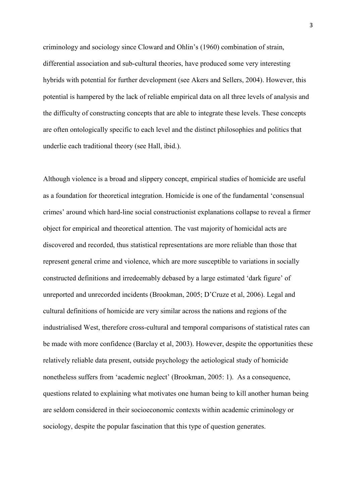criminology and sociology since Cloward and Ohlin's (1960) combination of strain, differential association and sub-cultural theories, have produced some very interesting hybrids with potential for further development (see Akers and Sellers, 2004). However, this potential is hampered by the lack of reliable empirical data on all three levels of analysis and the difficulty of constructing concepts that are able to integrate these levels. These concepts are often ontologically specific to each level and the distinct philosophies and politics that underlie each traditional theory (see Hall, ibid.).

Although violence is a broad and slippery concept, empirical studies of homicide are useful as a foundation for theoretical integration. Homicide is one of the fundamental 'consensual crimes' around which hard-line social constructionist explanations collapse to reveal a firmer object for empirical and theoretical attention. The vast majority of homicidal acts are discovered and recorded, thus statistical representations are more reliable than those that represent general crime and violence, which are more susceptible to variations in socially constructed definitions and irredeemably debased by a large estimated 'dark figure' of unreported and unrecorded incidents (Brookman, 2005; D'Cruze et al, 2006). Legal and cultural definitions of homicide are very similar across the nations and regions of the industrialised West, therefore cross-cultural and temporal comparisons of statistical rates can be made with more confidence (Barclay et al, 2003). However, despite the opportunities these relatively reliable data present, outside psychology the aetiological study of homicide nonetheless suffers from 'academic neglect' (Brookman, 2005: 1). As a consequence, questions related to explaining what motivates one human being to kill another human being are seldom considered in their socioeconomic contexts within academic criminology or sociology, despite the popular fascination that this type of question generates.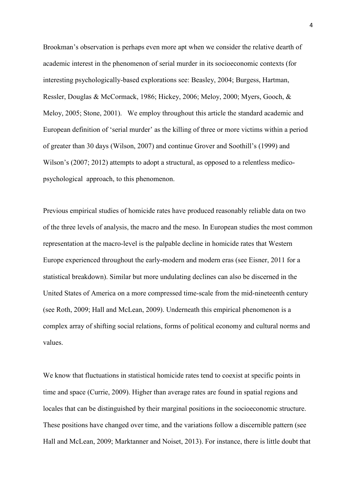Brookman's observation is perhaps even more apt when we consider the relative dearth of academic interest in the phenomenon of serial murder in its socioeconomic contexts (for interesting psychologically-based explorations see: Beasley, 2004; Burgess, Hartman, Ressler, Douglas & McCormack, 1986; Hickey, 2006; Meloy, 2000; Myers, Gooch, & Meloy, 2005; Stone, 2001). We employ throughout this article the standard academic and European definition of 'serial murder' as the killing of three or more victims within a period of greater than 30 days (Wilson, 2007) and continue Grover and Soothill's (1999) and Wilson's (2007; 2012) attempts to adopt a structural, as opposed to a relentless medicopsychological approach, to this phenomenon.

Previous empirical studies of homicide rates have produced reasonably reliable data on two of the three levels of analysis, the macro and the meso. In European studies the most common representation at the macro-level is the palpable decline in homicide rates that Western Europe experienced throughout the early-modern and modern eras (see Eisner, 2011 for a statistical breakdown). Similar but more undulating declines can also be discerned in the United States of America on a more compressed time-scale from the mid-nineteenth century (see Roth, 2009; Hall and McLean, 2009). Underneath this empirical phenomenon is a complex array of shifting social relations, forms of political economy and cultural norms and values.

We know that fluctuations in statistical homicide rates tend to coexist at specific points in time and space (Currie, 2009). Higher than average rates are found in spatial regions and locales that can be distinguished by their marginal positions in the socioeconomic structure. These positions have changed over time, and the variations follow a discernible pattern (see Hall and McLean, 2009; Marktanner and Noiset, 2013). For instance, there is little doubt that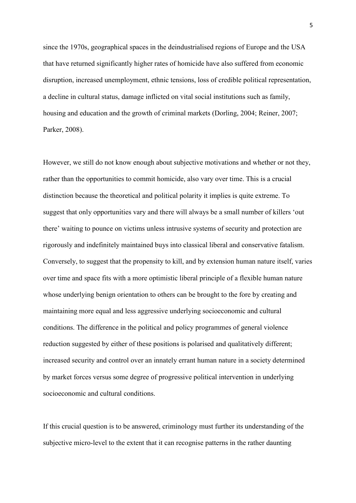since the 1970s, geographical spaces in the deindustrialised regions of Europe and the USA that have returned significantly higher rates of homicide have also suffered from economic disruption, increased unemployment, ethnic tensions, loss of credible political representation, a decline in cultural status, damage inflicted on vital social institutions such as family, housing and education and the growth of criminal markets (Dorling, 2004; Reiner, 2007; Parker, 2008).

However, we still do not know enough about subjective motivations and whether or not they, rather than the opportunities to commit homicide, also vary over time. This is a crucial distinction because the theoretical and political polarity it implies is quite extreme. To suggest that only opportunities vary and there will always be a small number of killers 'out there' waiting to pounce on victims unless intrusive systems of security and protection are rigorously and indefinitely maintained buys into classical liberal and conservative fatalism. Conversely, to suggest that the propensity to kill, and by extension human nature itself, varies over time and space fits with a more optimistic liberal principle of a flexible human nature whose underlying benign orientation to others can be brought to the fore by creating and maintaining more equal and less aggressive underlying socioeconomic and cultural conditions. The difference in the political and policy programmes of general violence reduction suggested by either of these positions is polarised and qualitatively different; increased security and control over an innately errant human nature in a society determined by market forces versus some degree of progressive political intervention in underlying socioeconomic and cultural conditions.

If this crucial question is to be answered, criminology must further its understanding of the subjective micro-level to the extent that it can recognise patterns in the rather daunting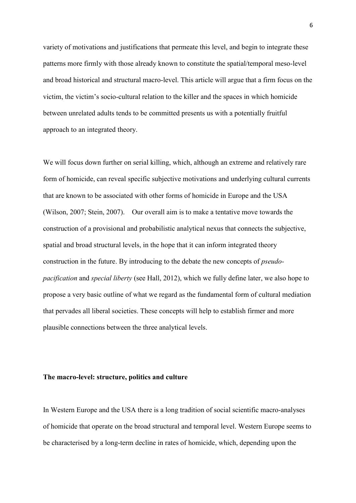variety of motivations and justifications that permeate this level, and begin to integrate these patterns more firmly with those already known to constitute the spatial/temporal meso-level and broad historical and structural macro-level. This article will argue that a firm focus on the victim, the victim's socio-cultural relation to the killer and the spaces in which homicide between unrelated adults tends to be committed presents us with a potentially fruitful approach to an integrated theory.

We will focus down further on serial killing, which, although an extreme and relatively rare form of homicide, can reveal specific subjective motivations and underlying cultural currents that are known to be associated with other forms of homicide in Europe and the USA (Wilson, 2007; Stein, 2007). Our overall aim is to make a tentative move towards the construction of a provisional and probabilistic analytical nexus that connects the subjective, spatial and broad structural levels, in the hope that it can inform integrated theory construction in the future. By introducing to the debate the new concepts of *pseudopacification* and *special liberty* (see Hall, 2012), which we fully define later, we also hope to propose a very basic outline of what we regard as the fundamental form of cultural mediation that pervades all liberal societies. These concepts will help to establish firmer and more plausible connections between the three analytical levels.

#### **The macro-level: structure, politics and culture**

In Western Europe and the USA there is a long tradition of social scientific macro-analyses of homicide that operate on the broad structural and temporal level. Western Europe seems to be characterised by a long-term decline in rates of homicide, which, depending upon the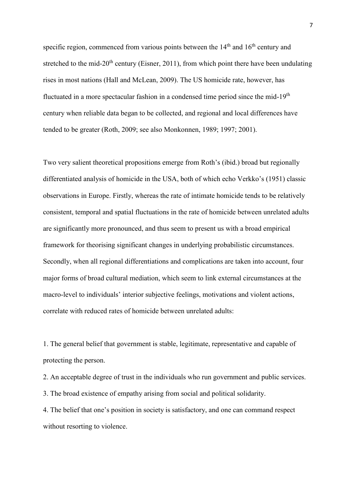specific region, commenced from various points between the  $14<sup>th</sup>$  and  $16<sup>th</sup>$  century and stretched to the mid- $20<sup>th</sup>$  century (Eisner, 2011), from which point there have been undulating rises in most nations (Hall and McLean, 2009). The US homicide rate, however, has fluctuated in a more spectacular fashion in a condensed time period since the mid-19<sup>th</sup> century when reliable data began to be collected, and regional and local differences have tended to be greater (Roth, 2009; see also Monkonnen, 1989; 1997; 2001).

Two very salient theoretical propositions emerge from Roth's (ibid.) broad but regionally differentiated analysis of homicide in the USA, both of which echo Verkko's (1951) classic observations in Europe. Firstly, whereas the rate of intimate homicide tends to be relatively consistent, temporal and spatial fluctuations in the rate of homicide between unrelated adults are significantly more pronounced, and thus seem to present us with a broad empirical framework for theorising significant changes in underlying probabilistic circumstances. Secondly, when all regional differentiations and complications are taken into account, four major forms of broad cultural mediation, which seem to link external circumstances at the macro-level to individuals' interior subjective feelings, motivations and violent actions, correlate with reduced rates of homicide between unrelated adults:

1. The general belief that government is stable, legitimate, representative and capable of protecting the person.

2. An acceptable degree of trust in the individuals who run government and public services.

3. The broad existence of empathy arising from social and political solidarity.

4. The belief that one's position in society is satisfactory, and one can command respect without resorting to violence.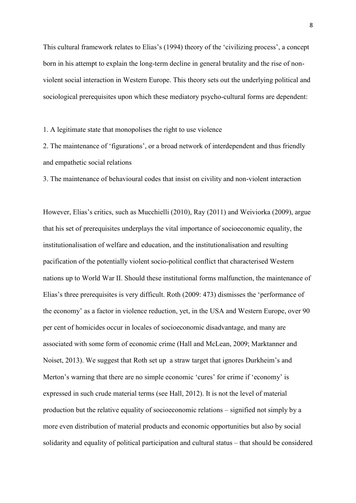This cultural framework relates to Elias's (1994) theory of the 'civilizing process', a concept born in his attempt to explain the long-term decline in general brutality and the rise of nonviolent social interaction in Western Europe. This theory sets out the underlying political and sociological prerequisites upon which these mediatory psycho-cultural forms are dependent:

1. A legitimate state that monopolises the right to use violence

2. The maintenance of 'figurations', or a broad network of interdependent and thus friendly and empathetic social relations

3. The maintenance of behavioural codes that insist on civility and non-violent interaction

However, Elias's critics, such as Mucchielli (2010), Ray (2011) and Weiviorka (2009), argue that his set of prerequisites underplays the vital importance of socioeconomic equality, the institutionalisation of welfare and education, and the institutionalisation and resulting pacification of the potentially violent socio-political conflict that characterised Western nations up to World War II. Should these institutional forms malfunction, the maintenance of Elias's three prerequisites is very difficult. Roth (2009: 473) dismisses the 'performance of the economy' as a factor in violence reduction, yet, in the USA and Western Europe, over 90 per cent of homicides occur in locales of socioeconomic disadvantage, and many are associated with some form of economic crime (Hall and McLean, 2009; Marktanner and Noiset, 2013). We suggest that Roth set up a straw target that ignores Durkheim's and Merton's warning that there are no simple economic 'cures' for crime if 'economy' is expressed in such crude material terms (see Hall, 2012). It is not the level of material production but the relative equality of socioeconomic relations – signified not simply by a more even distribution of material products and economic opportunities but also by social solidarity and equality of political participation and cultural status – that should be considered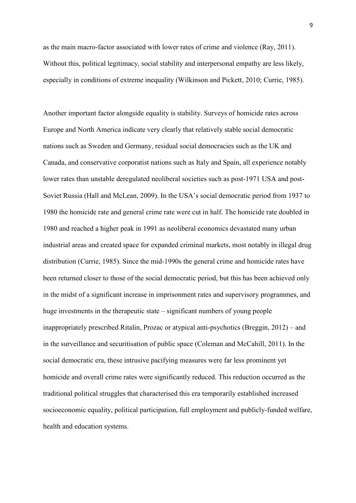as the main macro-factor associated with lower rates of crime and violence (Ray, 2011). Without this, political legitimacy, social stability and interpersonal empathy are less likely. especially in conditions of extreme inequality (Wilkinson and Pickett, 2010; Currie, 1985).

Another important factor alongside equality is stability. Surveys of homicide rates across Europe and North America indicate very clearly that relatively stable social democratic nations such as Sweden and Germany, residual social democracies such as the UK and Canada, and conservative corporatist nations such as Italy and Spain, all experience notably lower rates than unstable deregulated neoliberal societies such as post-1971 USA and post-Soviet Russia (Hall and McLean, 2009). In the USA's social democratic period from 1937 to 1980 the homicide rate and general crime rate were cut in half. The homicide rate doubled in 1980 and reached a higher peak in 1991 as neoliberal economics devastated many urban industrial areas and created space for expanded criminal markets, most notably in illegal drug distribution (Currie, 1985). Since the mid-1990s the general crime and homicide rates have been returned closer to those of the social democratic period, but this has been achieved only in the midst of a significant increase in imprisonment rates and supervisory programmes, and huge investments in the therapeutic state – significant numbers of young people inappropriately prescribed Ritalin, Prozac or atypical anti-psychotics (Breggin, 2012) – and in the surveillance and securitisation of public space (Coleman and McCahill, 2011). In the social democratic era, these intrusive pacifying measures were far less prominent yet homicide and overall crime rates were significantly reduced. This reduction occurred as the traditional political struggles that characterised this era temporarily established increased socioeconomic equality, political participation, full employment and publicly-funded welfare, health and education systems.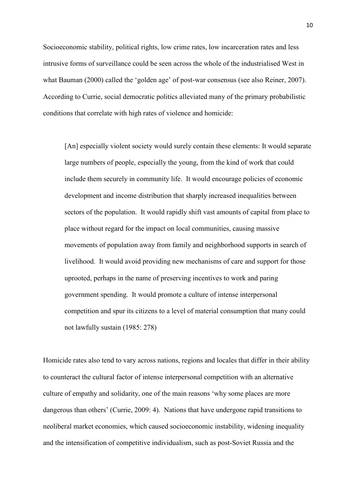Socioeconomic stability, political rights, low crime rates, low incarceration rates and less intrusive forms of surveillance could be seen across the whole of the industrialised West in what Bauman (2000) called the 'golden age' of post-war consensus (see also Reiner, 2007). According to Currie, social democratic politics alleviated many of the primary probabilistic conditions that correlate with high rates of violence and homicide:

[An] especially violent society would surely contain these elements: It would separate large numbers of people, especially the young, from the kind of work that could include them securely in community life. It would encourage policies of economic development and income distribution that sharply increased inequalities between sectors of the population. It would rapidly shift vast amounts of capital from place to place without regard for the impact on local communities, causing massive movements of population away from family and neighborhood supports in search of livelihood. It would avoid providing new mechanisms of care and support for those uprooted, perhaps in the name of preserving incentives to work and paring government spending. It would promote a culture of intense interpersonal competition and spur its citizens to a level of material consumption that many could not lawfully sustain (1985: 278)

Homicide rates also tend to vary across nations, regions and locales that differ in their ability to counteract the cultural factor of intense interpersonal competition with an alternative culture of empathy and solidarity, one of the main reasons 'why some places are more dangerous than others' (Currie, 2009: 4). Nations that have undergone rapid transitions to neoliberal market economies, which caused socioeconomic instability, widening inequality and the intensification of competitive individualism, such as post-Soviet Russia and the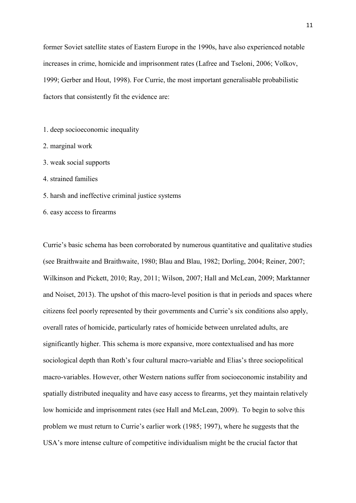former Soviet satellite states of Eastern Europe in the 1990s, have also experienced notable increases in crime, homicide and imprisonment rates (Lafree and Tseloni, 2006; Volkov, 1999; Gerber and Hout, 1998). For Currie, the most important generalisable probabilistic factors that consistently fit the evidence are:

- 1. deep socioeconomic inequality
- 2. marginal work
- 3. weak social supports
- 4. strained families
- 5. harsh and ineffective criminal justice systems
- 6. easy access to firearms

Currie's basic schema has been corroborated by numerous quantitative and qualitative studies (see Braithwaite and Braithwaite, 1980; Blau and Blau, 1982; Dorling, 2004; Reiner, 2007; Wilkinson and Pickett, 2010; Ray, 2011; Wilson, 2007; Hall and McLean, 2009; Marktanner and Noiset, 2013). The upshot of this macro-level position is that in periods and spaces where citizens feel poorly represented by their governments and Currie's six conditions also apply, overall rates of homicide, particularly rates of homicide between unrelated adults, are significantly higher. This schema is more expansive, more contextualised and has more sociological depth than Roth's four cultural macro-variable and Elias's three sociopolitical macro-variables. However, other Western nations suffer from socioeconomic instability and spatially distributed inequality and have easy access to firearms, yet they maintain relatively low homicide and imprisonment rates (see Hall and McLean, 2009). To begin to solve this problem we must return to Currie's earlier work (1985; 1997), where he suggests that the USA's more intense culture of competitive individualism might be the crucial factor that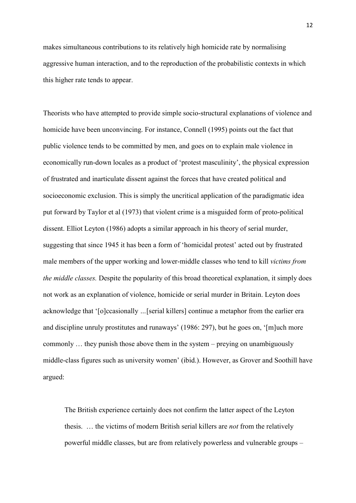makes simultaneous contributions to its relatively high homicide rate by normalising aggressive human interaction, and to the reproduction of the probabilistic contexts in which this higher rate tends to appear.

Theorists who have attempted to provide simple socio-structural explanations of violence and homicide have been unconvincing. For instance, Connell (1995) points out the fact that public violence tends to be committed by men, and goes on to explain male violence in economically run-down locales as a product of 'protest masculinity', the physical expression of frustrated and inarticulate dissent against the forces that have created political and socioeconomic exclusion. This is simply the uncritical application of the paradigmatic idea put forward by Taylor et al (1973) that violent crime is a misguided form of proto-political dissent. Elliot Leyton (1986) adopts a similar approach in his theory of serial murder, suggesting that since 1945 it has been a form of 'homicidal protest' acted out by frustrated male members of the upper working and lower-middle classes who tend to kill *victims from the middle classes.* Despite the popularity of this broad theoretical explanation, it simply does not work as an explanation of violence, homicide or serial murder in Britain. Leyton does acknowledge that '[o]ccasionally *…*[serial killers] continue a metaphor from the earlier era and discipline unruly prostitutes and runaways' (1986: 297), but he goes on, '[m]uch more commonly … they punish those above them in the system – preying on unambiguously middle-class figures such as university women' (ibid.). However, as Grover and Soothill have argued:

The British experience certainly does not confirm the latter aspect of the Leyton thesis. … the victims of modern British serial killers are *not* from the relatively powerful middle classes, but are from relatively powerless and vulnerable groups –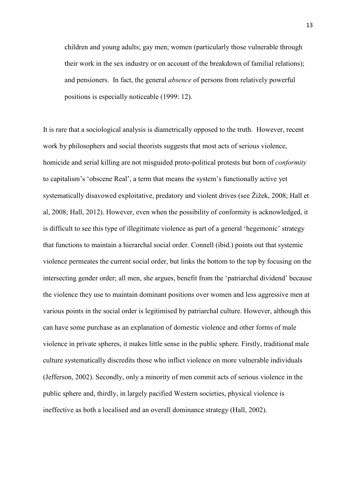children and young adults; gay men; women (particularly those vulnerable through their work in the sex industry or on account of the breakdown of familial relations); and pensioners. In fact, the general *absence* of persons from relatively powerful positions is especially noticeable (1999: 12).

It is rare that a sociological analysis is diametrically opposed to the truth. However, recent work by philosophers and social theorists suggests that most acts of serious violence, homicide and serial killing are not misguided proto-political protests but born of *conformity* to capitalism's 'obscene Real', a term that means the system's functionally active yet systematically disavowed exploitative, predatory and violent drives (see Žižek, 2008; Hall et al, 2008; Hall, 2012). However, even when the possibility of conformity is acknowledged, it is difficult to see this type of illegitimate violence as part of a general 'hegemonic' strategy that functions to maintain a hierarchal social order. Connell (ibid.) points out that systemic violence permeates the current social order, but links the bottom to the top by focusing on the intersecting gender order; all men, she argues, benefit from the 'patriarchal dividend' because the violence they use to maintain dominant positions over women and less aggressive men at various points in the social order is legitimised by patriarchal culture. However, although this can have some purchase as an explanation of domestic violence and other forms of male violence in private spheres, it makes little sense in the public sphere. Firstly, traditional male culture systematically discredits those who inflict violence on more vulnerable individuals (Jefferson, 2002). Secondly, only a minority of men commit acts of serious violence in the public sphere and, thirdly, in largely pacified Western societies, physical violence is ineffective as both a localised and an overall dominance strategy (Hall, 2002).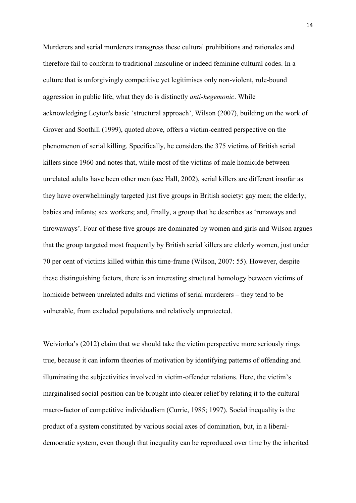Murderers and serial murderers transgress these cultural prohibitions and rationales and therefore fail to conform to traditional masculine or indeed feminine cultural codes. In a culture that is unforgivingly competitive yet legitimises only non-violent, rule-bound aggression in public life, what they do is distinctly *anti-hegemonic*. While acknowledging Leyton's basic 'structural approach', Wilson (2007), building on the work of Grover and Soothill (1999), quoted above, offers a victim-centred perspective on the phenomenon of serial killing. Specifically, he considers the 375 victims of British serial killers since 1960 and notes that, while most of the victims of male homicide between unrelated adults have been other men (see Hall, 2002), serial killers are different insofar as they have overwhelmingly targeted just five groups in British society: gay men; the elderly; babies and infants; sex workers; and, finally, a group that he describes as 'runaways and throwaways'. Four of these five groups are dominated by women and girls and Wilson argues that the group targeted most frequently by British serial killers are elderly women, just under 70 per cent of victims killed within this time-frame (Wilson, 2007: 55). However, despite these distinguishing factors, there is an interesting structural homology between victims of homicide between unrelated adults and victims of serial murderers – they tend to be vulnerable, from excluded populations and relatively unprotected.

Weiviorka's (2012) claim that we should take the victim perspective more seriously rings true, because it can inform theories of motivation by identifying patterns of offending and illuminating the subjectivities involved in victim-offender relations. Here, the victim's marginalised social position can be brought into clearer relief by relating it to the cultural macro-factor of competitive individualism (Currie, 1985; 1997). Social inequality is the product of a system constituted by various social axes of domination, but, in a liberaldemocratic system, even though that inequality can be reproduced over time by the inherited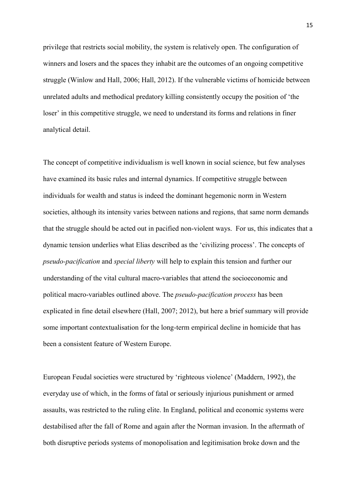privilege that restricts social mobility, the system is relatively open. The configuration of winners and losers and the spaces they inhabit are the outcomes of an ongoing competitive struggle (Winlow and Hall, 2006; Hall, 2012). If the vulnerable victims of homicide between unrelated adults and methodical predatory killing consistently occupy the position of 'the loser' in this competitive struggle, we need to understand its forms and relations in finer analytical detail.

The concept of competitive individualism is well known in social science, but few analyses have examined its basic rules and internal dynamics. If competitive struggle between individuals for wealth and status is indeed the dominant hegemonic norm in Western societies, although its intensity varies between nations and regions, that same norm demands that the struggle should be acted out in pacified non-violent ways. For us, this indicates that a dynamic tension underlies what Elias described as the 'civilizing process'. The concepts of *pseudo-pacification* and *special liberty* will help to explain this tension and further our understanding of the vital cultural macro-variables that attend the socioeconomic and political macro-variables outlined above. The *pseudo-pacification process* has been explicated in fine detail elsewhere (Hall, 2007; 2012), but here a brief summary will provide some important contextualisation for the long-term empirical decline in homicide that has been a consistent feature of Western Europe.

European Feudal societies were structured by 'righteous violence' (Maddern, 1992), the everyday use of which, in the forms of fatal or seriously injurious punishment or armed assaults, was restricted to the ruling elite. In England, political and economic systems were destabilised after the fall of Rome and again after the Norman invasion. In the aftermath of both disruptive periods systems of monopolisation and legitimisation broke down and the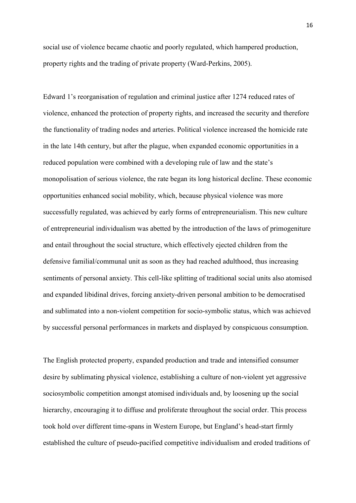social use of violence became chaotic and poorly regulated, which hampered production, property rights and the trading of private property (Ward-Perkins, 2005).

Edward 1's reorganisation of regulation and criminal justice after 1274 reduced rates of violence, enhanced the protection of property rights, and increased the security and therefore the functionality of trading nodes and arteries. Political violence increased the homicide rate in the late 14th century, but after the plague, when expanded economic opportunities in a reduced population were combined with a developing rule of law and the state's monopolisation of serious violence, the rate began its long historical decline. These economic opportunities enhanced social mobility, which, because physical violence was more successfully regulated, was achieved by early forms of entrepreneurialism. This new culture of entrepreneurial individualism was abetted by the introduction of the laws of primogeniture and entail throughout the social structure, which effectively ejected children from the defensive familial/communal unit as soon as they had reached adulthood, thus increasing sentiments of personal anxiety. This cell-like splitting of traditional social units also atomised and expanded libidinal drives, forcing anxiety-driven personal ambition to be democratised and sublimated into a non-violent competition for socio-symbolic status, which was achieved by successful personal performances in markets and displayed by conspicuous consumption.

The English protected property, expanded production and trade and intensified consumer desire by sublimating physical violence, establishing a culture of non-violent yet aggressive sociosymbolic competition amongst atomised individuals and, by loosening up the social hierarchy, encouraging it to diffuse and proliferate throughout the social order. This process took hold over different time-spans in Western Europe, but England's head-start firmly established the culture of pseudo-pacified competitive individualism and eroded traditions of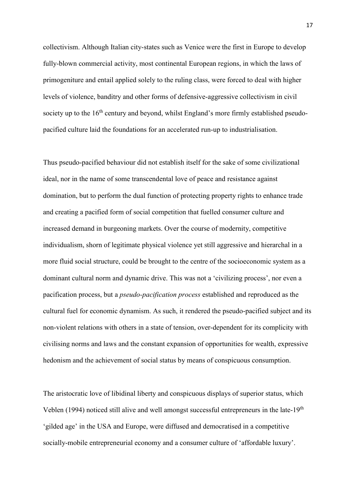collectivism. Although Italian city-states such as Venice were the first in Europe to develop fully-blown commercial activity, most continental European regions, in which the laws of primogeniture and entail applied solely to the ruling class, were forced to deal with higher levels of violence, banditry and other forms of defensive-aggressive collectivism in civil society up to the 16<sup>th</sup> century and beyond, whilst England's more firmly established pseudopacified culture laid the foundations for an accelerated run-up to industrialisation.

Thus pseudo-pacified behaviour did not establish itself for the sake of some civilizational ideal, nor in the name of some transcendental love of peace and resistance against domination, but to perform the dual function of protecting property rights to enhance trade and creating a pacified form of social competition that fuelled consumer culture and increased demand in burgeoning markets. Over the course of modernity, competitive individualism, shorn of legitimate physical violence yet still aggressive and hierarchal in a more fluid social structure, could be brought to the centre of the socioeconomic system as a dominant cultural norm and dynamic drive. This was not a 'civilizing process', nor even a pacification process, but a *pseudo-pacification process* established and reproduced as the cultural fuel for economic dynamism. As such, it rendered the pseudo-pacified subject and its non-violent relations with others in a state of tension, over-dependent for its complicity with civilising norms and laws and the constant expansion of opportunities for wealth, expressive hedonism and the achievement of social status by means of conspicuous consumption.

The aristocratic love of libidinal liberty and conspicuous displays of superior status, which Veblen (1994) noticed still alive and well amongst successful entrepreneurs in the late-19th 'gilded age' in the USA and Europe, were diffused and democratised in a competitive socially-mobile entrepreneurial economy and a consumer culture of 'affordable luxury'.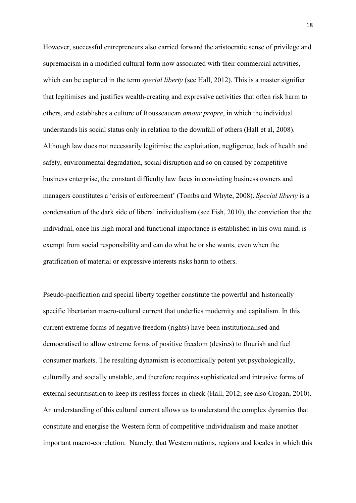However, successful entrepreneurs also carried forward the aristocratic sense of privilege and supremacism in a modified cultural form now associated with their commercial activities, which can be captured in the term *special liberty* (see Hall, 2012). This is a master signifier that legitimises and justifies wealth-creating and expressive activities that often risk harm to others, and establishes a culture of Rousseauean *amour propre*, in which the individual understands his social status only in relation to the downfall of others (Hall et al, 2008). Although law does not necessarily legitimise the exploitation, negligence, lack of health and safety, environmental degradation, social disruption and so on caused by competitive business enterprise, the constant difficulty law faces in convicting business owners and managers constitutes a 'crisis of enforcement' (Tombs and Whyte, 2008). *Special liberty* is a condensation of the dark side of liberal individualism (see Fish, 2010), the conviction that the individual, once his high moral and functional importance is established in his own mind, is exempt from social responsibility and can do what he or she wants, even when the gratification of material or expressive interests risks harm to others.

Pseudo-pacification and special liberty together constitute the powerful and historically specific libertarian macro-cultural current that underlies modernity and capitalism. In this current extreme forms of negative freedom (rights) have been institutionalised and democratised to allow extreme forms of positive freedom (desires) to flourish and fuel consumer markets. The resulting dynamism is economically potent yet psychologically, culturally and socially unstable, and therefore requires sophisticated and intrusive forms of external securitisation to keep its restless forces in check (Hall, 2012; see also Crogan, 2010). An understanding of this cultural current allows us to understand the complex dynamics that constitute and energise the Western form of competitive individualism and make another important macro-correlation. Namely, that Western nations, regions and locales in which this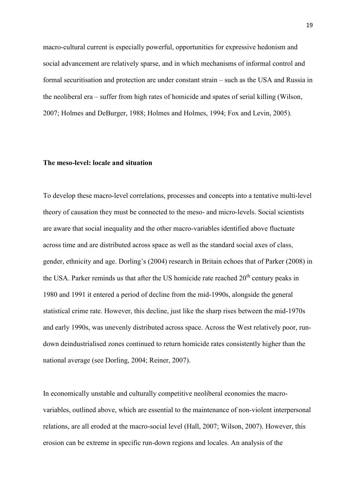macro-cultural current is especially powerful, opportunities for expressive hedonism and social advancement are relatively sparse, and in which mechanisms of informal control and formal securitisation and protection are under constant strain – such as the USA and Russia in the neoliberal era – suffer from high rates of homicide and spates of serial killing (Wilson, 2007; Holmes and DeBurger, 1988; Holmes and Holmes, 1994; Fox and Levin, 2005).

#### **The meso-level: locale and situation**

To develop these macro-level correlations, processes and concepts into a tentative multi-level theory of causation they must be connected to the meso- and micro-levels. Social scientists are aware that social inequality and the other macro-variables identified above fluctuate across time and are distributed across space as well as the standard social axes of class, gender, ethnicity and age. Dorling's (2004) research in Britain echoes that of Parker (2008) in the USA. Parker reminds us that after the US homicide rate reached  $20<sup>th</sup>$  century peaks in 1980 and 1991 it entered a period of decline from the mid-1990s, alongside the general statistical crime rate. However, this decline, just like the sharp rises between the mid-1970s and early 1990s, was unevenly distributed across space. Across the West relatively poor, rundown deindustrialised zones continued to return homicide rates consistently higher than the national average (see Dorling, 2004; Reiner, 2007).

In economically unstable and culturally competitive neoliberal economies the macrovariables, outlined above, which are essential to the maintenance of non-violent interpersonal relations, are all eroded at the macro-social level (Hall, 2007; Wilson, 2007). However, this erosion can be extreme in specific run-down regions and locales. An analysis of the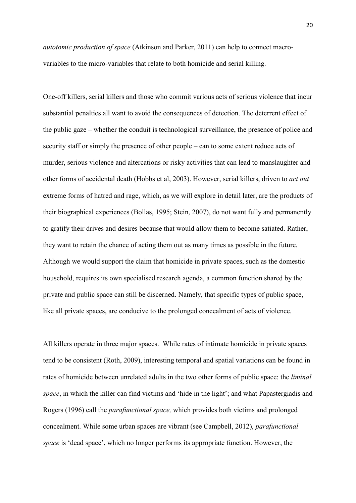*autotomic production of space* (Atkinson and Parker, 2011) can help to connect macrovariables to the micro-variables that relate to both homicide and serial killing.

One-off killers, serial killers and those who commit various acts of serious violence that incur substantial penalties all want to avoid the consequences of detection. The deterrent effect of the public gaze – whether the conduit is technological surveillance, the presence of police and security staff or simply the presence of other people – can to some extent reduce acts of murder, serious violence and altercations or risky activities that can lead to manslaughter and other forms of accidental death (Hobbs et al, 2003). However, serial killers, driven to *act out* extreme forms of hatred and rage, which, as we will explore in detail later, are the products of their biographical experiences (Bollas, 1995; Stein, 2007), do not want fully and permanently to gratify their drives and desires because that would allow them to become satiated. Rather, they want to retain the chance of acting them out as many times as possible in the future. Although we would support the claim that homicide in private spaces, such as the domestic household, requires its own specialised research agenda, a common function shared by the private and public space can still be discerned. Namely, that specific types of public space, like all private spaces, are conducive to the prolonged concealment of acts of violence.

All killers operate in three major spaces. While rates of intimate homicide in private spaces tend to be consistent (Roth, 2009), interesting temporal and spatial variations can be found in rates of homicide between unrelated adults in the two other forms of public space: the *liminal space*, in which the killer can find victims and 'hide in the light'; and what Papastergiadis and Rogers (1996) call the *parafunctional space,* which provides both victims and prolonged concealment. While some urban spaces are vibrant (see Campbell, 2012), *parafunctional space* is 'dead space', which no longer performs its appropriate function. However, the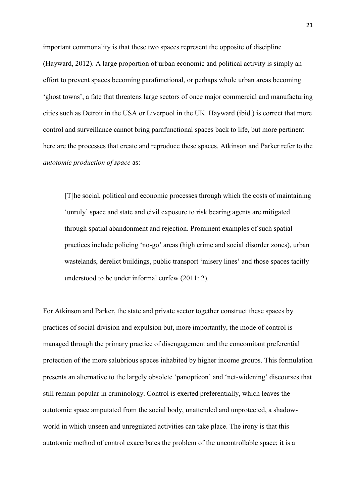important commonality is that these two spaces represent the opposite of discipline (Hayward, 2012). A large proportion of urban economic and political activity is simply an effort to prevent spaces becoming parafunctional, or perhaps whole urban areas becoming 'ghost towns', a fate that threatens large sectors of once major commercial and manufacturing cities such as Detroit in the USA or Liverpool in the UK. Hayward (ibid.) is correct that more control and surveillance cannot bring parafunctional spaces back to life, but more pertinent here are the processes that create and reproduce these spaces. Atkinson and Parker refer to the *autotomic production of space* as:

[T]he social, political and economic processes through which the costs of maintaining 'unruly' space and state and civil exposure to risk bearing agents are mitigated through spatial abandonment and rejection. Prominent examples of such spatial practices include policing 'no-go' areas (high crime and social disorder zones), urban wastelands, derelict buildings, public transport 'misery lines' and those spaces tacitly understood to be under informal curfew (2011: 2).

For Atkinson and Parker, the state and private sector together construct these spaces by practices of social division and expulsion but, more importantly, the mode of control is managed through the primary practice of disengagement and the concomitant preferential protection of the more salubrious spaces inhabited by higher income groups. This formulation presents an alternative to the largely obsolete 'panopticon' and 'net-widening' discourses that still remain popular in criminology. Control is exerted preferentially, which leaves the autotomic space amputated from the social body, unattended and unprotected, a shadowworld in which unseen and unregulated activities can take place. The irony is that this autotomic method of control exacerbates the problem of the uncontrollable space; it is a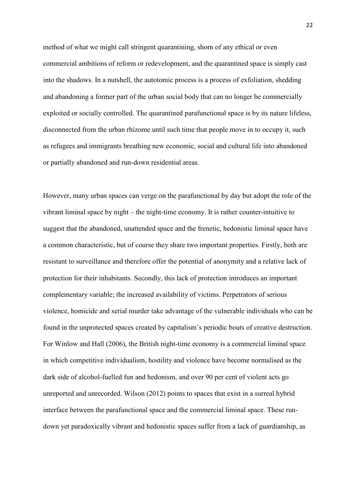method of what we might call stringent quarantining, shorn of any ethical or even commercial ambitions of reform or redevelopment, and the quarantined space is simply cast into the shadows. In a nutshell, the autotomic process is a process of exfoliation, shedding and abandoning a former part of the urban social body that can no longer be commercially exploited or socially controlled. The quarantined parafunctional space is by its nature lifeless, disconnected from the urban rhizome until such time that people move in to occupy it, such as refugees and immigrants breathing new economic, social and cultural life into abandoned or partially abandoned and run-down residential areas.

However, many urban spaces can verge on the parafunctional by day but adopt the role of the vibrant liminal space by night – the night-time economy. It is rather counter-intuitive to suggest that the abandoned, unattended space and the frenetic, hedonistic liminal space have a common characteristic, but of course they share two important properties. Firstly, both are resistant to surveillance and therefore offer the potential of anonymity and a relative lack of protection for their inhabitants. Secondly, this lack of protection introduces an important complementary variable; the increased availability of victims. Perpetrators of serious violence, homicide and serial murder take advantage of the vulnerable individuals who can be found in the unprotected spaces created by capitalism's periodic bouts of creative destruction. For Winlow and Hall (2006), the British night-time economy is a commercial liminal space in which competitive individualism, hostility and violence have become normalised as the dark side of alcohol-fuelled fun and hedonism, and over 90 per cent of violent acts go unreported and unrecorded. Wilson (2012) points to spaces that exist in a surreal hybrid interface between the parafunctional space and the commercial liminal space. These rundown yet paradoxically vibrant and hedonistic spaces suffer from a lack of guardianship, as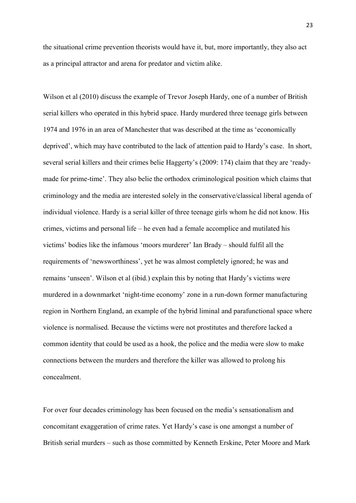the situational crime prevention theorists would have it, but, more importantly, they also act as a principal attractor and arena for predator and victim alike.

Wilson et al (2010) discuss the example of Trevor Joseph Hardy, one of a number of British serial killers who operated in this hybrid space. Hardy murdered three teenage girls between 1974 and 1976 in an area of Manchester that was described at the time as 'economically deprived', which may have contributed to the lack of attention paid to Hardy's case. In short, several serial killers and their crimes belie Haggerty's (2009: 174) claim that they are 'readymade for prime-time'. They also belie the orthodox criminological position which claims that criminology and the media are interested solely in the conservative/classical liberal agenda of individual violence. Hardy is a serial killer of three teenage girls whom he did not know. His crimes, victims and personal life – he even had a female accomplice and mutilated his victims' bodies like the infamous 'moors murderer' Ian Brady – should fulfil all the requirements of 'newsworthiness', yet he was almost completely ignored; he was and remains 'unseen'. Wilson et al (ibid.) explain this by noting that Hardy's victims were murdered in a downmarket 'night-time economy' zone in a run-down former manufacturing region in Northern England, an example of the hybrid liminal and parafunctional space where violence is normalised. Because the victims were not prostitutes and therefore lacked a common identity that could be used as a hook, the police and the media were slow to make connections between the murders and therefore the killer was allowed to prolong his concealment.

For over four decades criminology has been focused on the media's sensationalism and concomitant exaggeration of crime rates. Yet Hardy's case is one amongst a number of British serial murders – such as those committed by Kenneth Erskine, Peter Moore and Mark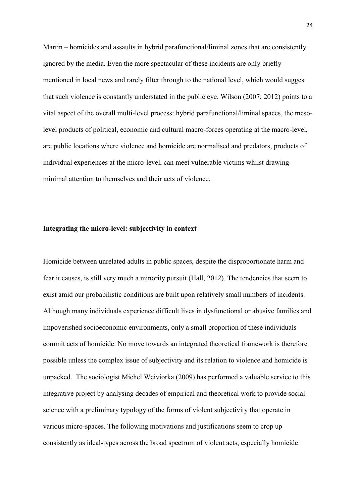Martin – homicides and assaults in hybrid parafunctional/liminal zones that are consistently ignored by the media. Even the more spectacular of these incidents are only briefly mentioned in local news and rarely filter through to the national level, which would suggest that such violence is constantly understated in the public eye. Wilson (2007; 2012) points to a vital aspect of the overall multi-level process: hybrid parafunctional/liminal spaces, the mesolevel products of political, economic and cultural macro-forces operating at the macro-level, are public locations where violence and homicide are normalised and predators, products of individual experiences at the micro-level, can meet vulnerable victims whilst drawing minimal attention to themselves and their acts of violence.

#### **Integrating the micro-level: subjectivity in context**

Homicide between unrelated adults in public spaces, despite the disproportionate harm and fear it causes, is still very much a minority pursuit (Hall, 2012). The tendencies that seem to exist amid our probabilistic conditions are built upon relatively small numbers of incidents. Although many individuals experience difficult lives in dysfunctional or abusive families and impoverished socioeconomic environments, only a small proportion of these individuals commit acts of homicide. No move towards an integrated theoretical framework is therefore possible unless the complex issue of subjectivity and its relation to violence and homicide is unpacked. The sociologist Michel Weiviorka (2009) has performed a valuable service to this integrative project by analysing decades of empirical and theoretical work to provide social science with a preliminary typology of the forms of violent subjectivity that operate in various micro-spaces. The following motivations and justifications seem to crop up consistently as ideal-types across the broad spectrum of violent acts, especially homicide: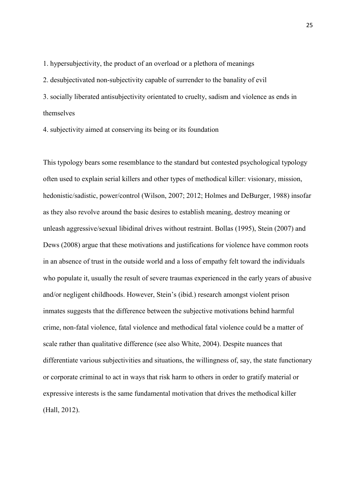1. hypersubjectivity, the product of an overload or a plethora of meanings

2. desubjectivated non-subjectivity capable of surrender to the banality of evil

3. socially liberated antisubjectivity orientated to cruelty, sadism and violence as ends in themselves

4. subjectivity aimed at conserving its being or its foundation

This typology bears some resemblance to the standard but contested psychological typology often used to explain serial killers and other types of methodical killer: visionary, mission, hedonistic/sadistic, power/control (Wilson, 2007; 2012; Holmes and DeBurger, 1988) insofar as they also revolve around the basic desires to establish meaning, destroy meaning or unleash aggressive/sexual libidinal drives without restraint. Bollas (1995), Stein (2007) and Dews (2008) argue that these motivations and justifications for violence have common roots in an absence of trust in the outside world and a loss of empathy felt toward the individuals who populate it, usually the result of severe traumas experienced in the early years of abusive and/or negligent childhoods. However, Stein's (ibid.) research amongst violent prison inmates suggests that the difference between the subjective motivations behind harmful crime, non-fatal violence, fatal violence and methodical fatal violence could be a matter of scale rather than qualitative difference (see also White, 2004). Despite nuances that differentiate various subjectivities and situations, the willingness of, say, the state functionary or corporate criminal to act in ways that risk harm to others in order to gratify material or expressive interests is the same fundamental motivation that drives the methodical killer (Hall, 2012).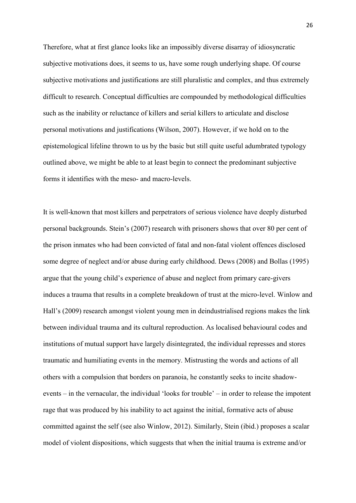Therefore, what at first glance looks like an impossibly diverse disarray of idiosyncratic subjective motivations does, it seems to us, have some rough underlying shape. Of course subjective motivations and justifications are still pluralistic and complex, and thus extremely difficult to research. Conceptual difficulties are compounded by methodological difficulties such as the inability or reluctance of killers and serial killers to articulate and disclose personal motivations and justifications (Wilson, 2007). However, if we hold on to the epistemological lifeline thrown to us by the basic but still quite useful adumbrated typology outlined above, we might be able to at least begin to connect the predominant subjective forms it identifies with the meso- and macro-levels.

It is well-known that most killers and perpetrators of serious violence have deeply disturbed personal backgrounds. Stein's (2007) research with prisoners shows that over 80 per cent of the prison inmates who had been convicted of fatal and non-fatal violent offences disclosed some degree of neglect and/or abuse during early childhood. Dews (2008) and Bollas (1995) argue that the young child's experience of abuse and neglect from primary care-givers induces a trauma that results in a complete breakdown of trust at the micro-level. Winlow and Hall's (2009) research amongst violent young men in deindustrialised regions makes the link between individual trauma and its cultural reproduction. As localised behavioural codes and institutions of mutual support have largely disintegrated, the individual represses and stores traumatic and humiliating events in the memory. Mistrusting the words and actions of all others with a compulsion that borders on paranoia, he constantly seeks to incite shadowevents – in the vernacular, the individual 'looks for trouble' – in order to release the impotent rage that was produced by his inability to act against the initial, formative acts of abuse committed against the self (see also Winlow, 2012). Similarly, Stein (ibid.) proposes a scalar model of violent dispositions, which suggests that when the initial trauma is extreme and/or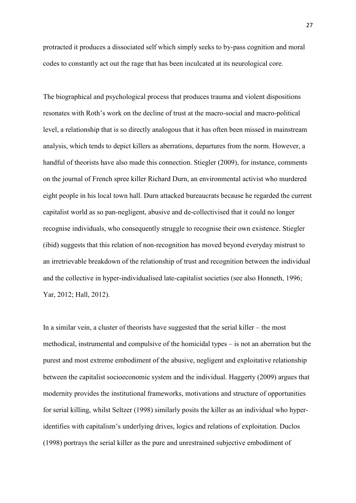protracted it produces a dissociated self which simply seeks to by-pass cognition and moral codes to constantly act out the rage that has been inculcated at its neurological core.

The biographical and psychological process that produces trauma and violent dispositions resonates with Roth's work on the decline of trust at the macro-social and macro-political level, a relationship that is so directly analogous that it has often been missed in mainstream analysis, which tends to depict killers as aberrations, departures from the norm. However, a handful of theorists have also made this connection. Stiegler (2009), for instance, comments on the journal of French spree killer Richard Durn, an environmental activist who murdered eight people in his local town hall. Durn attacked bureaucrats because he regarded the current capitalist world as so pan-negligent, abusive and de-collectivised that it could no longer recognise individuals, who consequently struggle to recognise their own existence. Stiegler (ibid) suggests that this relation of non-recognition has moved beyond everyday mistrust to an irretrievable breakdown of the relationship of trust and recognition between the individual and the collective in hyper-individualised late-capitalist societies (see also Honneth, 1996; Yar, 2012; Hall, 2012).

In a similar vein, a cluster of theorists have suggested that the serial killer – the most methodical, instrumental and compulsive of the homicidal types – is not an aberration but the purest and most extreme embodiment of the abusive, negligent and exploitative relationship between the capitalist socioeconomic system and the individual. Haggerty (2009) argues that modernity provides the institutional frameworks, motivations and structure of opportunities for serial killing, whilst Seltzer (1998) similarly posits the killer as an individual who hyperidentifies with capitalism's underlying drives, logics and relations of exploitation. Duclos (1998) portrays the serial killer as the pure and unrestrained subjective embodiment of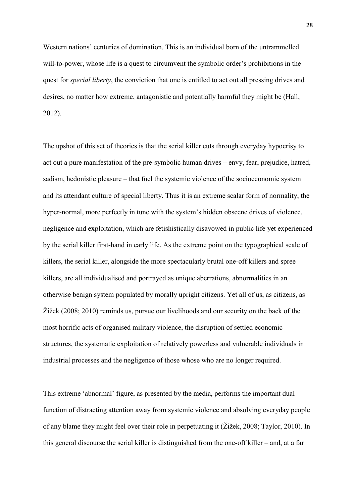Western nations' centuries of domination. This is an individual born of the untrammelled will-to-power, whose life is a quest to circumvent the symbolic order's prohibitions in the quest for *special liberty*, the conviction that one is entitled to act out all pressing drives and desires, no matter how extreme, antagonistic and potentially harmful they might be (Hall, 2012).

The upshot of this set of theories is that the serial killer cuts through everyday hypocrisy to act out a pure manifestation of the pre-symbolic human drives – envy, fear, prejudice, hatred, sadism, hedonistic pleasure – that fuel the systemic violence of the socioeconomic system and its attendant culture of special liberty. Thus it is an extreme scalar form of normality, the hyper-normal, more perfectly in tune with the system's hidden obscene drives of violence, negligence and exploitation, which are fetishistically disavowed in public life yet experienced by the serial killer first-hand in early life. As the extreme point on the typographical scale of killers, the serial killer, alongside the more spectacularly brutal one-off killers and spree killers, are all individualised and portrayed as unique aberrations, abnormalities in an otherwise benign system populated by morally upright citizens. Yet all of us, as citizens, as Žižek (2008; 2010) reminds us, pursue our livelihoods and our security on the back of the most horrific acts of organised military violence, the disruption of settled economic structures, the systematic exploitation of relatively powerless and vulnerable individuals in industrial processes and the negligence of those whose who are no longer required.

This extreme 'abnormal' figure, as presented by the media, performs the important dual function of distracting attention away from systemic violence and absolving everyday people of any blame they might feel over their role in perpetuating it (Žižek, 2008; Taylor, 2010). In this general discourse the serial killer is distinguished from the one-off killer – and, at a far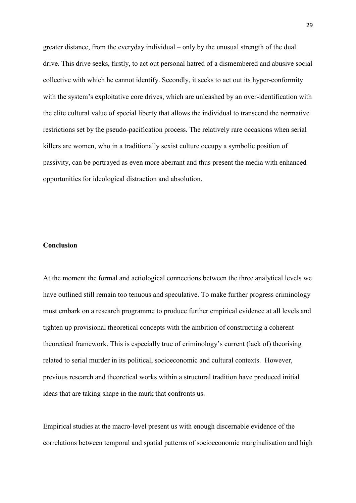greater distance, from the everyday individual – only by the unusual strength of the dual drive. This drive seeks, firstly, to act out personal hatred of a dismembered and abusive social collective with which he cannot identify. Secondly, it seeks to act out its hyper-conformity with the system's exploitative core drives, which are unleashed by an over-identification with the elite cultural value of special liberty that allows the individual to transcend the normative restrictions set by the pseudo-pacification process. The relatively rare occasions when serial killers are women, who in a traditionally sexist culture occupy a symbolic position of passivity, can be portrayed as even more aberrant and thus present the media with enhanced opportunities for ideological distraction and absolution.

### **Conclusion**

At the moment the formal and aetiological connections between the three analytical levels we have outlined still remain too tenuous and speculative. To make further progress criminology must embark on a research programme to produce further empirical evidence at all levels and tighten up provisional theoretical concepts with the ambition of constructing a coherent theoretical framework. This is especially true of criminology's current (lack of) theorising related to serial murder in its political, socioeconomic and cultural contexts. However, previous research and theoretical works within a structural tradition have produced initial ideas that are taking shape in the murk that confronts us.

Empirical studies at the macro-level present us with enough discernable evidence of the correlations between temporal and spatial patterns of socioeconomic marginalisation and high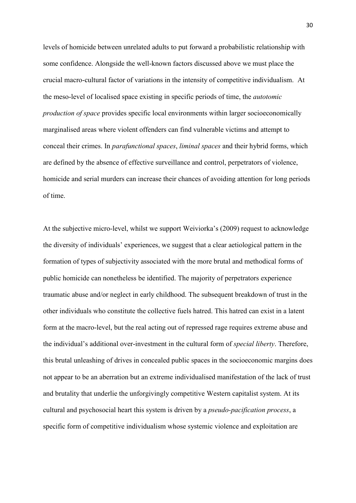levels of homicide between unrelated adults to put forward a probabilistic relationship with some confidence. Alongside the well-known factors discussed above we must place the crucial macro-cultural factor of variations in the intensity of competitive individualism. At the meso-level of localised space existing in specific periods of time, the *autotomic production of space* provides specific local environments within larger socioeconomically marginalised areas where violent offenders can find vulnerable victims and attempt to conceal their crimes. In *parafunctional spaces*, *liminal spaces* and their hybrid forms, which are defined by the absence of effective surveillance and control, perpetrators of violence, homicide and serial murders can increase their chances of avoiding attention for long periods of time.

At the subjective micro-level, whilst we support Weiviorka's (2009) request to acknowledge the diversity of individuals' experiences, we suggest that a clear aetiological pattern in the formation of types of subjectivity associated with the more brutal and methodical forms of public homicide can nonetheless be identified. The majority of perpetrators experience traumatic abuse and/or neglect in early childhood. The subsequent breakdown of trust in the other individuals who constitute the collective fuels hatred. This hatred can exist in a latent form at the macro-level, but the real acting out of repressed rage requires extreme abuse and the individual's additional over-investment in the cultural form of *special liberty*. Therefore, this brutal unleashing of drives in concealed public spaces in the socioeconomic margins does not appear to be an aberration but an extreme individualised manifestation of the lack of trust and brutality that underlie the unforgivingly competitive Western capitalist system. At its cultural and psychosocial heart this system is driven by a *pseudo-pacification process*, a specific form of competitive individualism whose systemic violence and exploitation are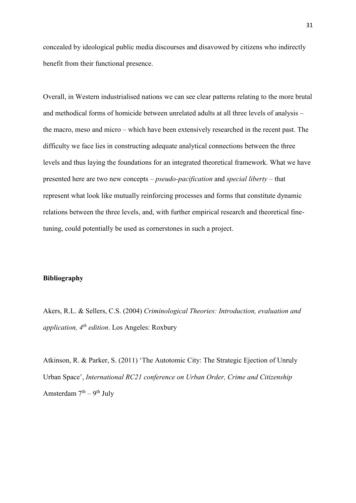concealed by ideological public media discourses and disavowed by citizens who indirectly benefit from their functional presence.

Overall, in Western industrialised nations we can see clear patterns relating to the more brutal and methodical forms of homicide between unrelated adults at all three levels of analysis – the macro, meso and micro – which have been extensively researched in the recent past. The difficulty we face lies in constructing adequate analytical connections between the three levels and thus laying the foundations for an integrated theoretical framework. What we have presented here are two new concepts – *pseudo-pacification* and *special liberty* – that represent what look like mutually reinforcing processes and forms that constitute dynamic relations between the three levels, and, with further empirical research and theoretical finetuning, could potentially be used as cornerstones in such a project.

## **Bibliography**

Akers, R.L. & Sellers, C.S. (2004) *Criminological Theories: Introduction, evaluation and application, 4th edition*. Los Angeles: Roxbury

Atkinson, R. & Parker, S. (2011) 'The Autotomic City: The Strategic Ejection of Unruly Urban Space', *International RC21 conference on Urban Order, Crime and Citizenship* Amsterdam 7<sup>th</sup> – 9<sup>th</sup> July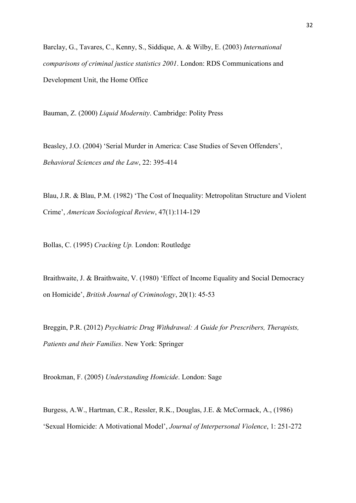Barclay, G., Tavares, C., Kenny, S., Siddique, A. & Wilby, E. (2003) *International comparisons of criminal justice statistics 2001*. London: RDS Communications and Development Unit, the Home Office

Bauman, Z. (2000) *Liquid Modernity*. Cambridge: Polity Press

Beasley, J.O. (2004) 'Serial Murder in America: Case Studies of Seven Offenders', *Behavioral Sciences and the Law*, 22: 395-414

Blau, J.R. & Blau, P.M. (1982) 'The Cost of Inequality: Metropolitan Structure and Violent Crime', *American Sociological Review*, 47(1):114-129

Bollas, C. (1995) *Cracking Up.* London: Routledge

Braithwaite, J. & Braithwaite, V. (1980) 'Effect of Income Equality and Social Democracy on Homicide', *British Journal of Criminology*, 20(1): 45-53

Breggin, P.R. (2012) *Psychiatric Drug Withdrawal: A Guide for Prescribers, Therapists, Patients and their Families*. New York: Springer

Brookman, F. (2005) *Understanding Homicide*. London: Sage

Burgess, A.W., Hartman, C.R., Ressler, R.K., Douglas, J.E. & McCormack, A., (1986) 'Sexual Homicide: A Motivational Model', *Journal of Interpersonal Violence*, 1: 251-272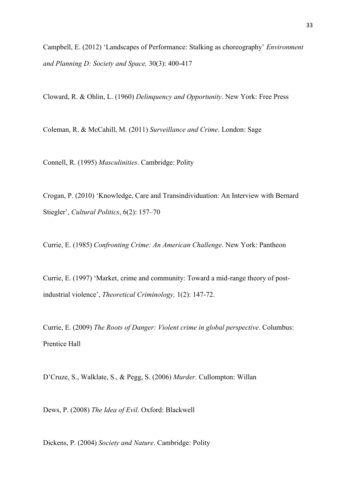Campbell, E. (2012) 'Landscapes of Performance: Stalking as choreography' *Environment and Planning D: Society and Space,* 30(3): 400-417

Cloward, R. & Ohlin, L. (1960) *Delinquency and Opportunity*. New York: Free Press

Coleman, R. & McCahill, M. (2011) *Surveillance and Crime*. London: Sage

Connell, R. (1995) *Masculinities*. Cambridge: Polity

Crogan, P. (2010) 'Knowledge, Care and Transindividuation: An Interview with Bernard Stiegler', *Cultural Politics*, 6(2): 157–70

Currie, E. (1985) *Confronting Crime: An American Challenge*. New York: Pantheon

Currie, E. (1997) 'Market, crime and community: Toward a mid-range theory of postindustrial violence', *Theoretical Criminology,* 1(2): 147-72.

Currie, E. (2009) *The Roots of Danger: Violent crime in global perspective*. Columbus: Prentice Hall

D'Cruze, S., Walklate, S., & Pegg, S. (2006) *Murder*. Cullompton: Willan

Dews, P. (2008) *The Idea of Evil*. Oxford: Blackwell

Dickens, P. (2004) *Society and Nature*. Cambridge: Polity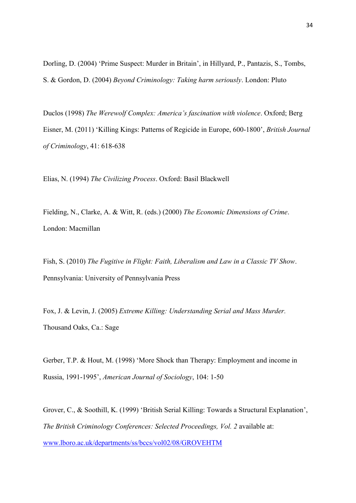Dorling, D. (2004) 'Prime Suspect: Murder in Britain', in Hillyard, P., Pantazis, S., Tombs, S. & Gordon, D. (2004) *Beyond Criminology: Taking harm seriously*. London: Pluto

Duclos (1998) *The Werewolf Complex: America's fascination with violence*. Oxford; Berg Eisner, M. (2011) 'Killing Kings: Patterns of Regicide in Europe, 600-1800', *British Journal of Criminology*, 41: 618-638

Elias, N. (1994) *The Civilizing Process*. Oxford: Basil Blackwell

Fielding, N., Clarke, A. & Witt, R. (eds.) (2000) *The Economic Dimensions of Crime*. London: Macmillan

Fish, S. (2010) *The Fugitive in Flight: Faith, Liberalism and Law in a Classic TV Show*. Pennsylvania: University of Pennsylvania Press

Fox, J. & Levin, J. (2005) *Extreme Killing: Understanding Serial and Mass Murder.* Thousand Oaks, Ca.: Sage

Gerber, T.P. & Hout, M. (1998) 'More Shock than Therapy: Employment and income in Russia, 1991-1995', *American Journal of Sociology*, 104: 1-50

Grover, C., & Soothill, K. (1999) 'British Serial Killing: Towards a Structural Explanation', *The British Criminology Conferences: Selected Proceedings, Vol. 2* available at: [www.lboro.ac.uk/departments/ss/bccs/vol02/08/GROVEHTM](http://www.lboro.ac.uk/departments/ss/bccs/vol02/08/GROVEHTM)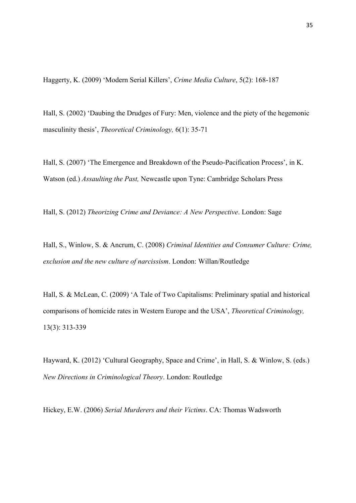Haggerty, K. (2009) 'Modern Serial Killers', *Crime Media Culture*, 5(2): 168-187

Hall, S. (2002) 'Daubing the Drudges of Fury: Men, violence and the piety of the hegemonic masculinity thesis', *Theoretical Criminology,* 6(1): 35-71

Hall, S. (2007) 'The Emergence and Breakdown of the Pseudo-Pacification Process', in K. Watson (ed.) *Assaulting the Past,* Newcastle upon Tyne: Cambridge Scholars Press

Hall, S. (2012) *Theorizing Crime and Deviance: A New Perspective*. London: Sage

Hall, S., Winlow, S. & Ancrum, C. (2008) *Criminal Identities and Consumer Culture: Crime, exclusion and the new culture of narcissism*. London: Willan/Routledge

Hall, S. & McLean, C. (2009) 'A Tale of Two Capitalisms: Preliminary spatial and historical comparisons of homicide rates in Western Europe and the USA', *Theoretical Criminology,*  13(3): 313-339

Hayward, K. (2012) 'Cultural Geography, Space and Crime', in Hall, S. & Winlow, S. (eds.) *New Directions in Criminological Theory*. London: Routledge

Hickey, E.W. (2006) *Serial Murderers and their Victims*. CA: Thomas Wadsworth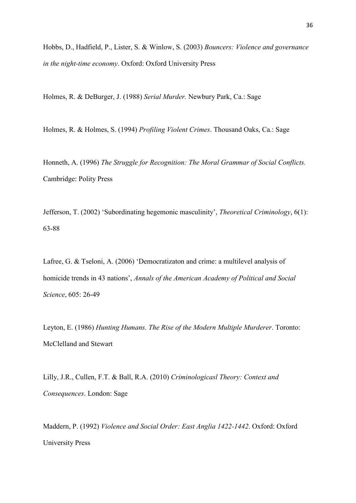Hobbs, D., Hadfield, P., Lister, S. & Winlow, S. (2003) *Bouncers: Violence and governance in the night-time economy*. Oxford: Oxford University Press

Holmes, R. & DeBurger, J. (1988) *Serial Murder.* Newbury Park, Ca.: Sage

Holmes, R. & Holmes, S. (1994) *Profiling Violent Crimes*. Thousand Oaks, Ca.: Sage

Honneth, A. (1996) *The Struggle for Recognition: The Moral Grammar of Social Conflicts.*  Cambridge: Polity Press

Jefferson, T. (2002) 'Subordinating hegemonic masculinity', *Theoretical Criminology*, 6(1): 63-88

Lafree, G. & Tseloni, A. (2006) 'Democratizaton and crime: a multilevel analysis of homicide trends in 43 nations', *Annals of the American Academy of Political and Social Science*, 605: 26-49

Leyton, E. (1986) *Hunting Humans. The Rise of the Modern Multiple Murderer*. Toronto: McClelland and Stewart

Lilly, J.R., Cullen, F.T. & Ball, R.A. (2010) *Criminologicasl Theory: Context and Consequences*. London: Sage

Maddern, P. (1992) *Violence and Social Order: East Anglia 1422-1442*. Oxford: Oxford University Press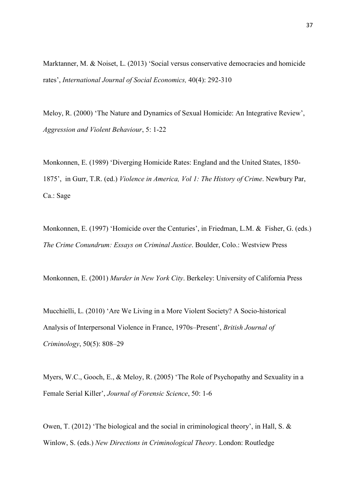Marktanner, M. & Noiset, L. (2013) 'Social versus conservative democracies and homicide rates', *International Journal of Social Economics,* 40(4): 292-310

Meloy, R. (2000) 'The Nature and Dynamics of Sexual Homicide: An Integrative Review', *Aggression and Violent Behaviour*, 5: 1-22

Monkonnen, E. (1989) 'Diverging Homicide Rates: England and the United States, 1850- 1875', in Gurr, T.R. (ed.) *Violence in America, Vol 1: The History of Crime*. Newbury Par, Ca.: Sage

Monkonnen, E. (1997) 'Homicide over the Centuries', in Friedman, L.M. & Fisher, G. (eds.) *The Crime Conundrum: Essays on Criminal Justice*. Boulder, Colo.: Westview Press

Monkonnen, E. (2001) *Murder in New York City*. Berkeley: University of California Press

Mucchielli, L. (2010) 'Are We Living in a More Violent Society? A Socio-historical Analysis of Interpersonal Violence in France, 1970s–Present', *British Journal of Criminology*, 50(5): 808–29

Myers, W.C., Gooch, E., & Meloy, R. (2005) 'The Role of Psychopathy and Sexuality in a Female Serial Killer', *Journal of Forensic Science*, 50: 1-6

Owen, T. (2012) 'The biological and the social in criminological theory', in Hall, S. & Winlow, S. (eds.) *New Directions in Criminological Theory*. London: Routledge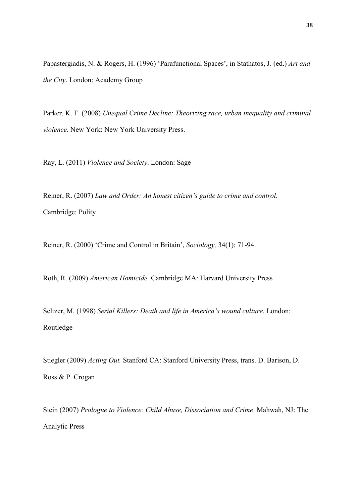Papastergiadis, N. & Rogers, H. (1996) 'Parafunctional Spaces', in Stathatos, J. (ed.) *Art and the City*. London: Academy Group

Parker, K. F. (2008) *Unequal Crime Decline: Theorizing race, urban inequality and criminal violence.* New York: New York University Press.

Ray, L. (2011) *Violence and Society*. London: Sage

Reiner, R. (2007) *Law and Order: An honest citizen's guide to crime and control.* Cambridge: Polity

Reiner, R. (2000) 'Crime and Control in Britain', *Sociology,* 34(1): 71-94.

Roth, R. (2009) *American Homicide.* Cambridge MA: Harvard University Press

Seltzer, M. (1998) *Serial Killers: Death and life in America's wound culture*. London: Routledge

Stiegler (2009) *Acting Out.* Stanford CA: Stanford University Press, trans. D. Barison, D. Ross & P. Crogan

Stein (2007) *Prologue to Violence: Child Abuse, Dissociation and Crime*. Mahwah, NJ: The Analytic Press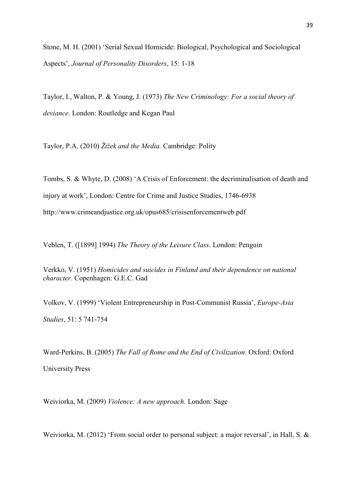Stone, M. H. (2001) 'Serial Sexual Homicide: Biological, Psychological and Sociological Aspects', *Journal of Personality Disorders*, 15: 1-18

Taylor, I., Walton, P. & Young, J. (1973) *The New Criminology: For a social theory of deviance*. London: Routledge and Kegan Paul

Taylor, P.A. (2010) *Žižek and the Media.* Cambridge: Polity

Tombs, S. & Whyte, D. (2008) 'A Crisis of Enforcement: the decriminalisation of death and injury at work', London: Centre for Crime and Justice Studies, 1746-6938 <http://www.crimeandjustice.org.uk/opus685/crisisenforcementweb.pdf>

Veblen, T. ([1899] 1994) *The Theory of the Leisure Class*. London: Penguin

Verkko, V. (1951) *Homicides and suicides in Finland and their dependence on national character*. Copenhagen: G.E.C. Gad

Volkov, V. (1999) 'Violent Entrepreneurship in Post-Communist Russia', *Europe-Asia Studies*, 51: 5 741-754

Ward-Perkins, B. (2005) *The Fall of Rome and the End of Civilization*. Oxford: Oxford University Press

Weiviorka, M. (2009) *Violence: A new approach.* London: Sage

Weiviorka, M. (2012) 'From social order to personal subject: a major reversal', in Hall, S. &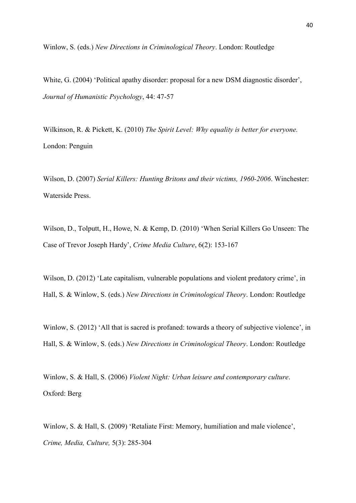Winlow, S. (eds.) *New Directions in Criminological Theory*. London: Routledge

White, G. (2004) 'Political apathy disorder: proposal for a new DSM diagnostic disorder', *Journal of Humanistic Psychology*, 44: 47-57

Wilkinson, R. & Pickett, K. (2010) *The Spirit Level: Why equality is better for everyone.* London: Penguin

Wilson, D. (2007) *Serial Killers: Hunting Britons and their victims, 1960-2006*. Winchester: Waterside Press.

Wilson, D., Tolputt, H., Howe, N. & Kemp, D. (2010) 'When Serial Killers Go Unseen: The Case of Trevor Joseph Hardy', *Crime Media Culture*, 6(2): 153-167

Wilson, D. (2012) 'Late capitalism, vulnerable populations and violent predatory crime', in Hall, S. & Winlow, S. (eds.) *New Directions in Criminological Theory*. London: Routledge

Winlow, S. (2012) 'All that is sacred is profaned: towards a theory of subjective violence', in Hall, S. & Winlow, S. (eds.) *New Directions in Criminological Theory*. London: Routledge

Winlow, S. & Hall, S. (2006) *Violent Night: Urban leisure and contemporary culture*. Oxford: Berg

Winlow, S. & Hall, S. (2009) 'Retaliate First: Memory, humiliation and male violence', *Crime, Media, Culture,* 5(3): 285-304